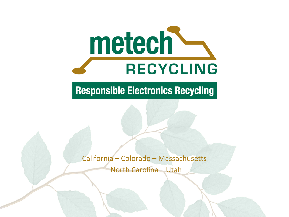

#### **Responsible Electronics Recycling**

California – Colorado – Massachusetts North Carolina – Utah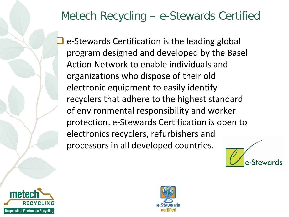### Metech Recycling – e-Stewards Certified

 e-Stewards Certification is the leading global program designed and developed by the Basel Action Network to enable individuals and organizations who dispose of their old electronic equipment to easily identify recyclers that adhere to the highest standard of environmental responsibility and worker protection. e-Stewards Certification is open to electronics recyclers, refurbishers and processors in all developed countries.





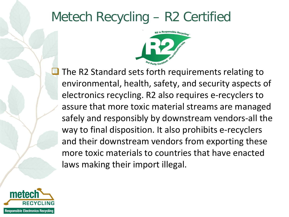## Metech Recycling – R2 Certified



 The R2 Standard sets forth requirements relating to environmental, health, safety, and security aspects of electronics recycling. R2 also requires e-recyclers to assure that more toxic material streams are managed safely and responsibly by downstream vendors-all the way to final disposition. It also prohibits e-recyclers and their downstream vendors from exporting these more toxic materials to countries that have enacted laws making their import illegal.

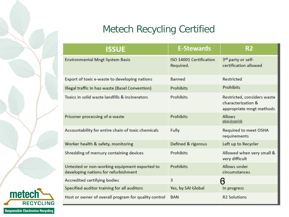#### Metech Recycling Certified

| <b>ISSUE</b>                                                                          | <b>E-Stewards</b>                    | R <sub>2</sub>                                                                |
|---------------------------------------------------------------------------------------|--------------------------------------|-------------------------------------------------------------------------------|
| <b>Environmental Mngt System Basis</b>                                                | ISO 14001 Certification<br>Required. | 3rd party or self-<br>certification allowed                                   |
| Export of toxic e-waste to developing nations                                         | Banned                               | <b>Restricted</b>                                                             |
| Illegal traffic in haz-waste (Basel Convention)                                       | Prohibits                            | <b>Prohibits</b>                                                              |
| Toxics in solid waste landfills & incinerators                                        | <b>Prohibits</b>                     | Restricted, considers waste<br>characterization &<br>appropriate mngt methods |
| Prisoner processing of e-waste                                                        | <b>Prohibits</b>                     | <b>Allows</b><br>permitted when a facility can become R2 certified            |
| Accountability for entire chain of toxic chemicals                                    | Fully                                | Required to meet OSHA<br>requirements                                         |
| Worker health & safety, monitoring                                                    | Defined & rigorous                   | Left up to Recycler                                                           |
| Shredding of mercury containing devices                                               | <b>Prohibits</b>                     | Allowed when very small &<br>very difficult                                   |
| Untested or non-working equipment exported to<br>developing nations for refurbishment | <b>Prohibits</b>                     | Allows under<br>circumstances                                                 |
| Accredited certifying bodies                                                          | 3                                    | ß                                                                             |
| Specified auditor training for all auditors                                           | Yes, by SAI Global                   | In progress                                                                   |
| Host or owner of overall program for quality control                                  | <b>BAN</b>                           | <b>R2 Solutions</b>                                                           |

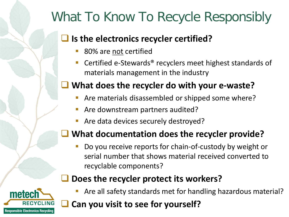# What To Know To Recycle Responsibly

#### $\Box$  Is the electronics recycler certified?

- 80% are not certified
- Certified e-Stewards® recyclers meet highest standards of materials management in the industry

#### **What does the recycler do with your e-waste?**

- Are materials disassembled or shipped some where?
- Are downstream partners audited?
- Are data devices securely destroyed?

#### **What documentation does the recycler provide?**

 Do you receive reports for chain-of-custody by weight or serial number that shows material received converted to recyclable components?

#### **Does the recycler protect its workers?**



Are all safety standards met for handling hazardous material?

### **Can you visit to see for yourself?**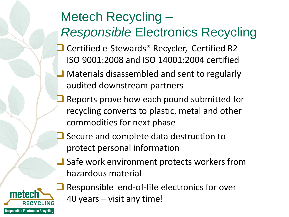# Metech Recycling – *Responsible* Electronics Recycling

- Certified e-Stewards<sup>®</sup> Recycler, Certified R2 ISO 9001:2008 and ISO 14001:2004 certified
- **Materials disassembled and sent to regularly** audited downstream partners
- Reports prove how each pound submitted for recycling converts to plastic, metal and other commodities for next phase
- Secure and complete data destruction to protect personal information
- Safe work environment protects workers from hazardous material



**Responsible Electronics Recycling** 

meter